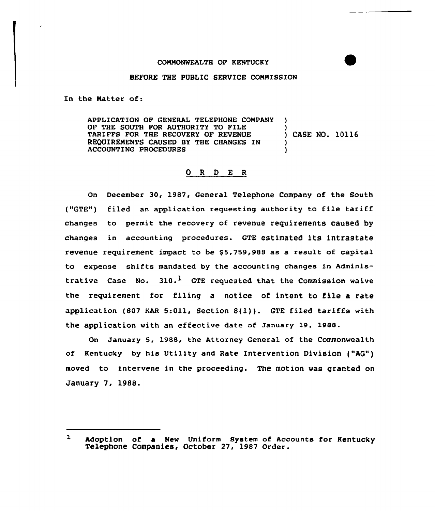## BEFORE THE PUBLIC SERVICE CONNISSION

In the Natter of:

APPLICATION OF GENERAL TELEPHONE COMPANY OF THE SOUTH FOR AUTHORITY TO FILE  $\qquad$  )<br>TARIFFS FOR THE RECOVERY OF REVENUE ) CASE NO. 10116 TARIFFS FOR THE RECOVERY OF REVENUE REQUIREMENTS CAUSED BY THE CHANGES IN ) ACCOUNTING PROCEDURES

## 0 <sup>R</sup> <sup>D</sup> E <sup>R</sup>

On December 30, 1987, General Telephone Company of the South ("GTE") filed an application requesting authority to file tariff changes to permit the recovery of revenue requirements caused by changes in accounting procedures. GTE estimated its intrastate revenue requirement impact to be \$5,759,988 as a result of capital to expense shifts mandated by the accounting changes in Administrative Case No.  $310.1$  GTE requested that the Commission waive the requirement for filing a notice of intent to file a rate application (807 KAR 5:Oll, Section 8(l)). GTE filed tariffs with the application with an effective date of January 19, 1988.

On January 5, 198S, the Attorney General of the Commonwealth of Kentucky by his Utility and Rate Intervention Division ("AQ") moved to intervene in the proceeding. The motion was granted on January 7, 19&8.

 $\mathbf{1}$ Adoption of a New Uniform System of Accounts for Kentuck Telephone Companies, October 27. 1987 Order.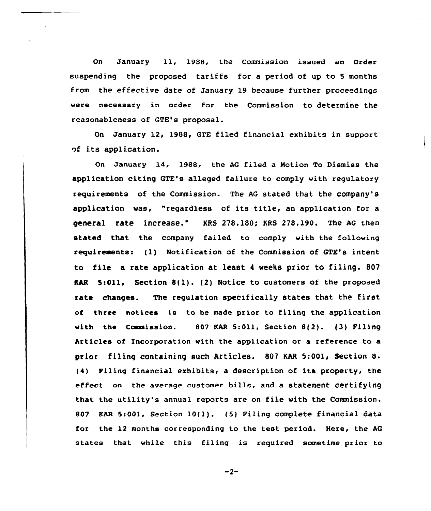On January ll, 1988, the Commission issued an Order suspending the proposed tariffs for a period of up to <sup>5</sup> months from the effective date of January 19 because further proceedings were necessary in order for the Commission to determine the reasonableness of GTE's proposal.

On January 12, 1988, GTE filed financial exhibits in support of its application.

On January 14, 1988, the AG filed a Notion To Dismiss the application citing GTE's alleged failure to comply with regulatory requirements of the Commission. The AG stated that the company's application was, "regardless of its title, an application for <sup>a</sup> general rate increase." KRS 278.180; KRS 278.190. The AG then stated that the company failed to comply with the following requireaents: (1) Notification of the Commission of GTE's intent. to file a rate application at least <sup>4</sup> weeks prior to filing. 807 KAR 5:Oll, Section 8(l). (2) Notice to customers of the proposed rate changes. The regulation specifically states that the first of three notices is to be made prior to filing the application with the Commission. 807 KAR 5:011, Section 8(2). (3) Filing Articles of Incorporation with the application or a reference to a prior filing containing such Articles. <sup>807</sup> KAR 5:001, Section 8. (4) Filing financial exhibits, a description of its property, the effect on the average customer bills, and a statement certifying that the utility's annual reports are on file with the Commission. 807 KAR 5:001, Section 10(l). (5) Filing complete financial data for the 12 months corresponding to the test period. Here, the AG states that while this filing is required sometime prior to

 $-2-$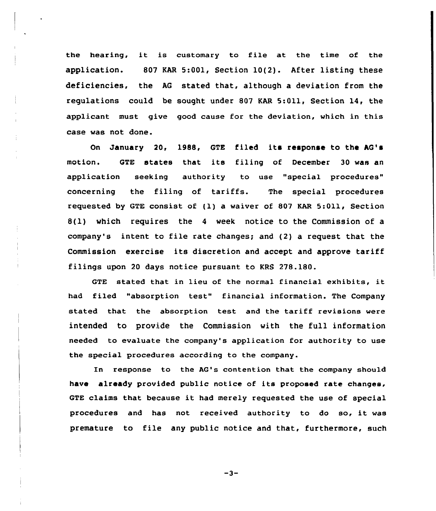the hearing, it is customary to file at the time of the application. 807 KAR 5:001, Section 10(2). After listing these deficiencies, the AG stated that, although a deviation from the regulations could be sought under 807 KAR 5:011, Section 14, the applicant must give good cause for the deviation, which in this case was not done.

On January 20, 1988, GTE filed its response to the AQ' motion. QTE states that its filing of December <sup>30</sup> was an application seeking authority to use "special procedures" concerning the filing of tariffs. The special procedures requested by GTE consist of (1) a waiver of 807 KAR 5:011, Section B(1) which requires the 4 week notice to the Commission of a company's intent to file rate changes; and (2) a request that the Commission exercise its discretion and accept and approve tariff filings upon 20 days notice pursuant to KRS 278.180.

GTE stated that in lieu of the normal financial exhibits, it had filed "absorption test" financial information. The Company stated that the absorption test and the tariff revisions were intended to provide the Commission with the full information needed to evaluate the company's application for authority to use the special procedures according to the company.

In response to the AG's contention that the company should have already provided public notice of its proposed rate changes, GTE claims that because it had merely requested the use of special procedures and has not received authority to do so, it was premature to file any public notice and that, furthermore, such

 $-3-$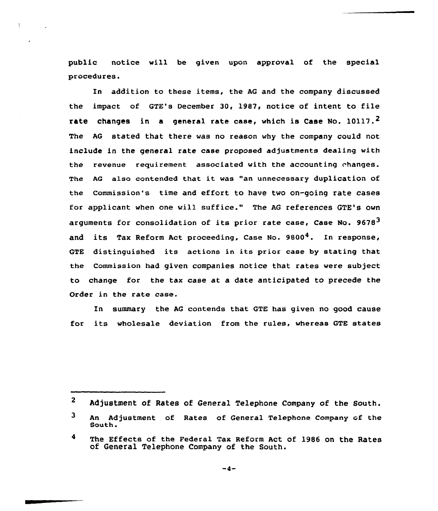public notice will be given upon approval of the special procedures.

In addition to these items, the AG and the company discussed the impact of GTE's December 30, 1987, notice of intent to file rate changes in a general rate case, which is Case No.  $10117.^2$ The AG stated that there vas no reason vhy the company could not include in the general rate case proposed adjustments dealing with the revenue requirement associated vith the accounting changes. The AG also contended that it was "an unnecessary duplication of the Commission's time and effort to have tvo on-going rate cases for applicant when one vill suffice." The AG references GTE's ovn arguments for consolidation of its prior rate case, Case No. 9678<sup>3</sup> and its Tax Reform Act proceeding, Case No. 9800<sup>4</sup>. In response, GTE distinguished its actions in its prior case by stating that the Commission had given companies notice that rates were subject to change for the tax case at a date anticipated to precede the Order in the rate case.

In summary the AG contends that GTE has given no good cause for its wholesale deviation from the rules, whereas GTE states

 $\mathbf{2}$ Adjustment of Rates of General Telephone Company of the South.

 $\overline{\mathbf{3}}$ An Adjustment of Rates of General Telephone Company of the South

 $\blacktriangleleft$ The Effects of the Federal Tax Reform Act of 1986 on the Rates of General Telephone Company of the South.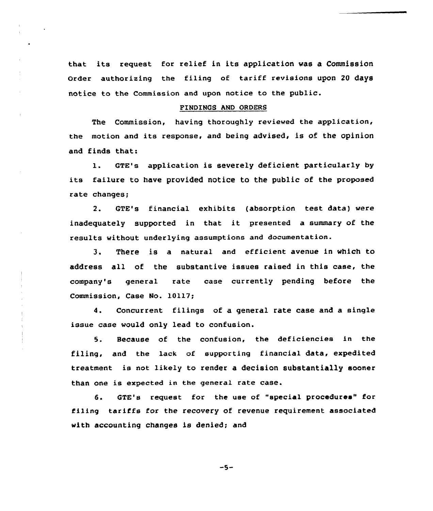that its request for relief in its application was a commission order authorizing the filing of tariff revisions upon <sup>20</sup> days notice to the Commission and upon notice to the public.

## FINDINGS AND ORDERS

The Commission, having thoroughly reviewed the application, the motion and its response, and being advised, is of the opinion and finds that:

1. GTE's application is severely deficient particularly by its failure to have provided notice to the public of the proposed rate changes;

2. GTE's financial exhibits (absorption test data) were inadequately supported in that it presented <sup>a</sup> summary of the results without underlying assumptions and documentation.

3. There is a natural and efficient avenue in which to address all of the substantive issues raised in this case, the company's general rate case currently pending before the Commission, Case No. 10117;

4. Concurrent filings of a general rate case and a single issue case would only lead to confusion.

5. Because of the confusion, the deficiencies in the filing, and the lack of supporting financial data, expedited treatment is not likely to render a decision substantially sooner than one is expected in the general rate case.

6. GTE's request for the use of "special procedures" for filing tariffs for the recovery of revenue requirement associated with accounting changes is denied; and

 $-5-$